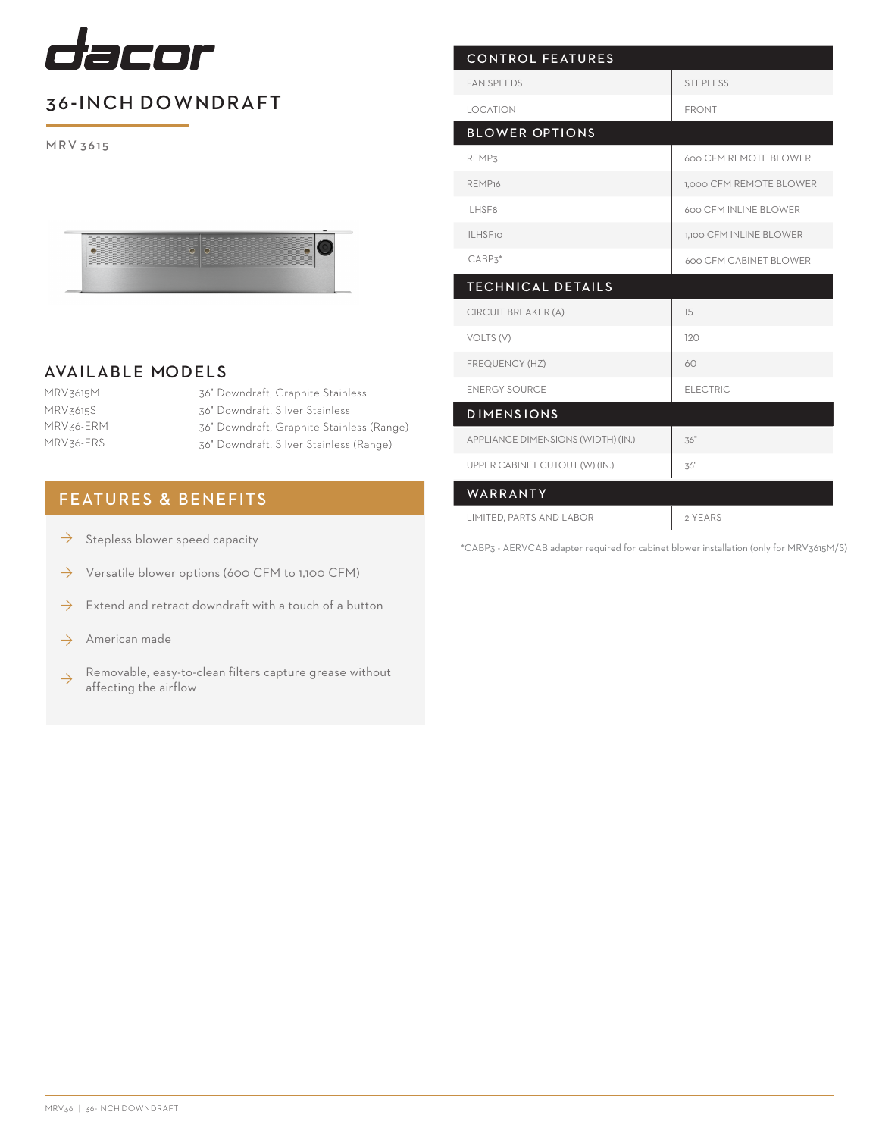

## 36-INCH DOWNDRAFT

M R V 3615



## AVAILABLE MODELS

- MRV3615M MRV3615S MRV36-ERM MRV36-ERS
- 36" Downdraft, Graphite Stainless 36" Downdraft, Silver Stainless 36" Downdraft, Graphite Stainless (Range) 36" Downdraft, Silver Stainless (Range)

## FEATURES & BENEFITS

- Stepless blower speed capacity  $\rightarrow$
- Versatile blower options (600 CFM to 1,100 CFM) ◊
- Extend and retract downdraft with a touch of a button ◊
- American made ◊
- Removable, easy-to-clean filters capture grease without affecting the airflow ◊

| <b>CONTROL FEATURES</b>            |                         |
|------------------------------------|-------------------------|
| <b>FAN SPEEDS</b>                  | <b>STEPLESS</b>         |
| <b>LOCATION</b>                    | <b>FRONT</b>            |
| <b>BLOWER OPTIONS</b>              |                         |
| REMP3                              | 600 CFM REMOTE BLOWER   |
| REMP <sub>16</sub>                 | 1,000 CFM REMOTE BLOWER |
| <b>ILHSF8</b>                      | 600 CFM INLINE BLOWER   |
| <b>ILHSF10</b>                     | 1,100 CFM INLINE BLOWER |
| $CABP3*$                           | 600 CFM CABINET BLOWER  |
| <b>TECHNICAL DETAILS</b>           |                         |
| CIRCUIT BREAKER (A)                | 15                      |
| VOLTS (V)                          | 120                     |
| FREQUENCY (HZ)                     | 60                      |
| <b>ENERGY SOURCE</b>               | <b>ELECTRIC</b>         |
| <b>DIMENSIONS</b>                  |                         |
| APPLIANCE DIMENSIONS (WIDTH) (IN.) | 36"                     |
| UPPER CABINET CUTOUT (W) (IN.)     | 36"                     |
| WARRANTY                           |                         |
| LIMITED, PARTS AND LABOR           | 2 YEARS                 |

\*CABP3 - AERVCAB adapter required for cabinet blower installation (only for MRV3615M/S)